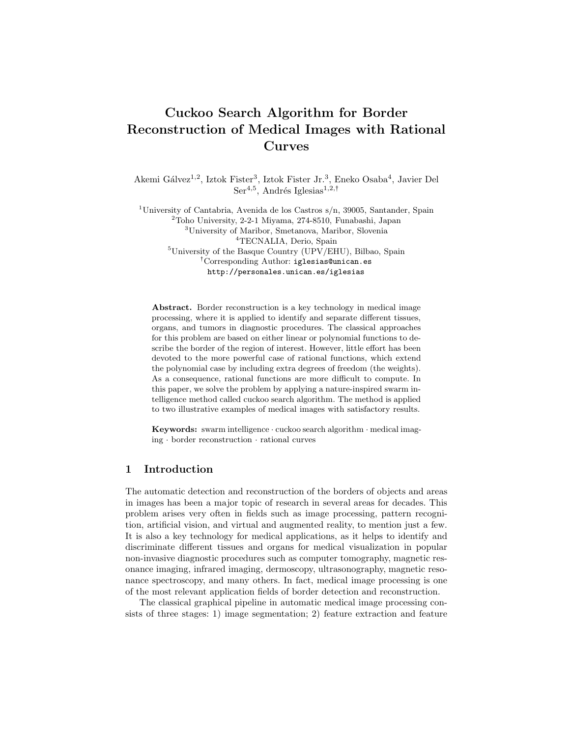# Cuckoo Search Algorithm for Border Reconstruction of Medical Images with Rational Curves

Akemi Gálvez<sup>1,2</sup>, Iztok Fister<sup>3</sup>, Iztok Fister Jr.<sup>3</sup>, Eneko Osaba<sup>4</sup>, Javier Del Ser<sup>4,5</sup>, Andrés Iglesias<sup>1,2,†</sup>

<sup>1</sup>University of Cantabria, Avenida de los Castros s/n, 39005, Santander, Spain <sup>2</sup>Toho University, 2-2-1 Miyama, 274-8510, Funabashi, Japan <sup>3</sup>University of Maribor, Smetanova, Maribor, Slovenia <sup>4</sup>TECNALIA, Derio, Spain  ${}^{5}$ University of the Basque Country (UPV/EHU), Bilbao, Spain :Corresponding Author: iglesias@unican.es http://personales.unican.es/iglesias

Abstract. Border reconstruction is a key technology in medical image processing, where it is applied to identify and separate different tissues, organs, and tumors in diagnostic procedures. The classical approaches for this problem are based on either linear or polynomial functions to describe the border of the region of interest. However, little effort has been devoted to the more powerful case of rational functions, which extend the polynomial case by including extra degrees of freedom (the weights). As a consequence, rational functions are more difficult to compute. In this paper, we solve the problem by applying a nature-inspired swarm intelligence method called cuckoo search algorithm. The method is applied to two illustrative examples of medical images with satisfactory results.

Keywords: swarm intelligence · cuckoo search algorithm · medical imaging · border reconstruction · rational curves

### 1 Introduction

The automatic detection and reconstruction of the borders of objects and areas in images has been a major topic of research in several areas for decades. This problem arises very often in fields such as image processing, pattern recognition, artificial vision, and virtual and augmented reality, to mention just a few. It is also a key technology for medical applications, as it helps to identify and discriminate different tissues and organs for medical visualization in popular non-invasive diagnostic procedures such as computer tomography, magnetic resonance imaging, infrared imaging, dermoscopy, ultrasonography, magnetic resonance spectroscopy, and many others. In fact, medical image processing is one of the most relevant application fields of border detection and reconstruction.

The classical graphical pipeline in automatic medical image processing consists of three stages: 1) image segmentation; 2) feature extraction and feature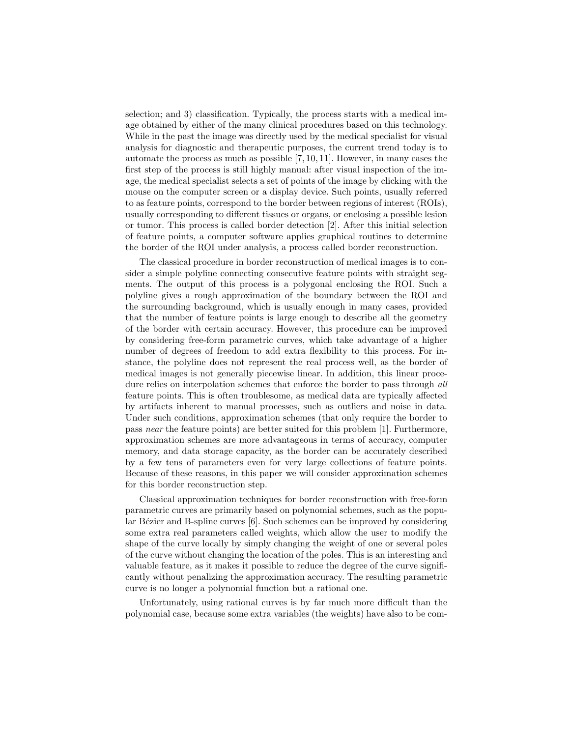selection; and 3) classification. Typically, the process starts with a medical image obtained by either of the many clinical procedures based on this technology. While in the past the image was directly used by the medical specialist for visual analysis for diagnostic and therapeutic purposes, the current trend today is to automate the process as much as possible [7, 10, 11]. However, in many cases the first step of the process is still highly manual: after visual inspection of the image, the medical specialist selects a set of points of the image by clicking with the mouse on the computer screen or a display device. Such points, usually referred to as feature points, correspond to the border between regions of interest (ROIs), usually corresponding to different tissues or organs, or enclosing a possible lesion or tumor. This process is called border detection [2]. After this initial selection of feature points, a computer software applies graphical routines to determine the border of the ROI under analysis, a process called border reconstruction.

The classical procedure in border reconstruction of medical images is to consider a simple polyline connecting consecutive feature points with straight segments. The output of this process is a polygonal enclosing the ROI. Such a polyline gives a rough approximation of the boundary between the ROI and the surrounding background, which is usually enough in many cases, provided that the number of feature points is large enough to describe all the geometry of the border with certain accuracy. However, this procedure can be improved by considering free-form parametric curves, which take advantage of a higher number of degrees of freedom to add extra flexibility to this process. For instance, the polyline does not represent the real process well, as the border of medical images is not generally piecewise linear. In addition, this linear procedure relies on interpolation schemes that enforce the border to pass through all feature points. This is often troublesome, as medical data are typically affected by artifacts inherent to manual processes, such as outliers and noise in data. Under such conditions, approximation schemes (that only require the border to pass near the feature points) are better suited for this problem [1]. Furthermore, approximation schemes are more advantageous in terms of accuracy, computer memory, and data storage capacity, as the border can be accurately described by a few tens of parameters even for very large collections of feature points. Because of these reasons, in this paper we will consider approximation schemes for this border reconstruction step.

Classical approximation techniques for border reconstruction with free-form parametric curves are primarily based on polynomial schemes, such as the popular Bézier and B-spline curves [6]. Such schemes can be improved by considering some extra real parameters called weights, which allow the user to modify the shape of the curve locally by simply changing the weight of one or several poles of the curve without changing the location of the poles. This is an interesting and valuable feature, as it makes it possible to reduce the degree of the curve significantly without penalizing the approximation accuracy. The resulting parametric curve is no longer a polynomial function but a rational one.

Unfortunately, using rational curves is by far much more difficult than the polynomial case, because some extra variables (the weights) have also to be com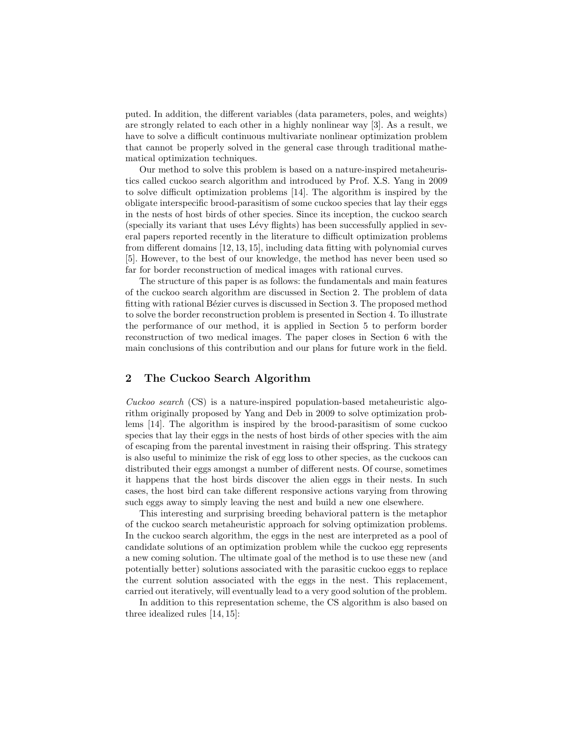puted. In addition, the different variables (data parameters, poles, and weights) are strongly related to each other in a highly nonlinear way [3]. As a result, we have to solve a difficult continuous multivariate nonlinear optimization problem that cannot be properly solved in the general case through traditional mathematical optimization techniques.

Our method to solve this problem is based on a nature-inspired metaheuristics called cuckoo search algorithm and introduced by Prof. X.S. Yang in 2009 to solve difficult optimization problems [14]. The algorithm is inspired by the obligate interspecific brood-parasitism of some cuckoo species that lay their eggs in the nests of host birds of other species. Since its inception, the cuckoo search (specially its variant that uses Lévy flights) has been successfully applied in several papers reported recently in the literature to difficult optimization problems from different domains [12, 13, 15], including data fitting with polynomial curves [5]. However, to the best of our knowledge, the method has never been used so far for border reconstruction of medical images with rational curves.

The structure of this paper is as follows: the fundamentals and main features of the cuckoo search algorithm are discussed in Section 2. The problem of data fitting with rational Bézier curves is discussed in Section 3. The proposed method to solve the border reconstruction problem is presented in Section 4. To illustrate the performance of our method, it is applied in Section 5 to perform border reconstruction of two medical images. The paper closes in Section 6 with the main conclusions of this contribution and our plans for future work in the field.

# 2 The Cuckoo Search Algorithm

Cuckoo search (CS) is a nature-inspired population-based metaheuristic algorithm originally proposed by Yang and Deb in 2009 to solve optimization problems [14]. The algorithm is inspired by the brood-parasitism of some cuckoo species that lay their eggs in the nests of host birds of other species with the aim of escaping from the parental investment in raising their offspring. This strategy is also useful to minimize the risk of egg loss to other species, as the cuckoos can distributed their eggs amongst a number of different nests. Of course, sometimes it happens that the host birds discover the alien eggs in their nests. In such cases, the host bird can take different responsive actions varying from throwing such eggs away to simply leaving the nest and build a new one elsewhere.

This interesting and surprising breeding behavioral pattern is the metaphor of the cuckoo search metaheuristic approach for solving optimization problems. In the cuckoo search algorithm, the eggs in the nest are interpreted as a pool of candidate solutions of an optimization problem while the cuckoo egg represents a new coming solution. The ultimate goal of the method is to use these new (and potentially better) solutions associated with the parasitic cuckoo eggs to replace the current solution associated with the eggs in the nest. This replacement, carried out iteratively, will eventually lead to a very good solution of the problem.

In addition to this representation scheme, the CS algorithm is also based on three idealized rules [14, 15]: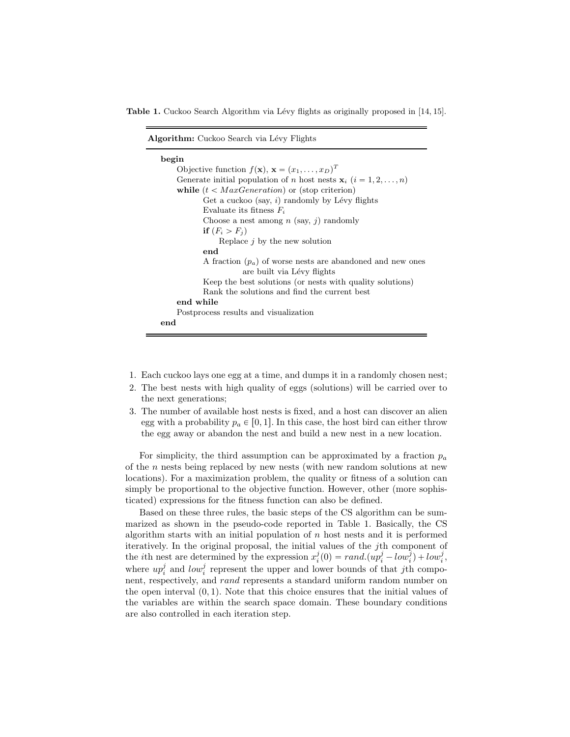Table 1. Cuckoo Search Algorithm via Lévy flights as originally proposed in [14, 15].

| <b>Algorithm:</b> Cuckoo Search via Lévy Flights                                      |
|---------------------------------------------------------------------------------------|
| begin                                                                                 |
| Objective function $f(\mathbf{x}), \mathbf{x} = (x_1, \dots, x_D)^T$                  |
| Generate initial population of <i>n</i> host nests $\mathbf{x}_i$ ( $i = 1, 2, , n$ ) |
| while $(t < MaxGeneration)$ or (stop criterion)                                       |
| Get a cuckoo (say, i) randomly by Lévy flights                                        |
| Evaluate its fitness $F_i$                                                            |
| Choose a nest among $n$ (say, j) randomly                                             |
| if $(F_i > F_i)$                                                                      |
| Replace $j$ by the new solution                                                       |
| end                                                                                   |
| A fraction $(p_a)$ of worse nests are abandoned and new ones                          |
| are built via Lévy flights                                                            |
| Keep the best solutions (or nests with quality solutions)                             |
| Rank the solutions and find the current best                                          |
| end while                                                                             |
| Postprocess results and visualization                                                 |
| end                                                                                   |

- 1. Each cuckoo lays one egg at a time, and dumps it in a randomly chosen nest;
- 2. The best nests with high quality of eggs (solutions) will be carried over to the next generations;
- 3. The number of available host nests is fixed, and a host can discover an alien egg with a probability  $p_a \in [0, 1]$ . In this case, the host bird can either throw the egg away or abandon the nest and build a new nest in a new location.

For simplicity, the third assumption can be approximated by a fraction  $p_a$ of the n nests being replaced by new nests (with new random solutions at new locations). For a maximization problem, the quality or fitness of a solution can simply be proportional to the objective function. However, other (more sophisticated) expressions for the fitness function can also be defined.

Based on these three rules, the basic steps of the CS algorithm can be summarized as shown in the pseudo-code reported in Table 1. Basically, the CS algorithm starts with an initial population of  $n$  host nests and it is performed iteratively. In the original proposal, the initial values of the jth component of the *i*th nest are determined by the expression  $x_i^j(0) = rand.(up_i^j - low_i^j) + low_i^j$ , where  $up_i^j$  and  $low_i^j$  represent the upper and lower bounds of that jth component, respectively, and rand represents a standard uniform random number on the open interval  $(0, 1)$ . Note that this choice ensures that the initial values of the variables are within the search space domain. These boundary conditions are also controlled in each iteration step.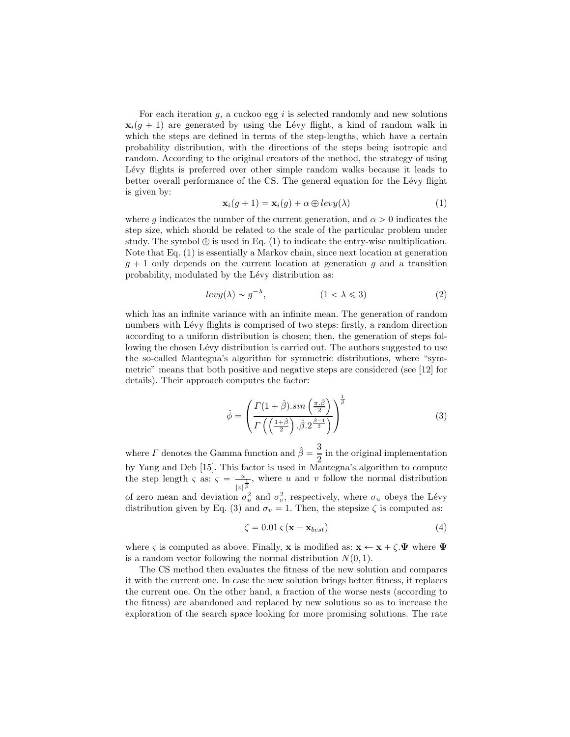For each iteration  $g$ , a cuckoo egg i is selected randomly and new solutions  $\mathbf{x}_i(q+1)$  are generated by using the Lévy flight, a kind of random walk in which the steps are defined in terms of the step-lengths, which have a certain probability distribution, with the directions of the steps being isotropic and random. According to the original creators of the method, the strategy of using Lévy flights is preferred over other simple random walks because it leads to better overall performance of the CS. The general equation for the Lévy flight is given by:

$$
\mathbf{x}_{i}(g+1) = \mathbf{x}_{i}(g) + \alpha \oplus levy(\lambda)
$$
 (1)

where q indicates the number of the current generation, and  $\alpha > 0$  indicates the step size, which should be related to the scale of the particular problem under study. The symbol  $\oplus$  is used in Eq. (1) to indicate the entry-wise multiplication. Note that Eq. (1) is essentially a Markov chain, since next location at generation  $g + 1$  only depends on the current location at generation g and a transition probability, modulated by the Lévy distribution as:

$$
levy(\lambda) \sim g^{-\lambda}, \qquad (1 < \lambda \leqslant 3)
$$
 (2)

which has an infinite variance with an infinite mean. The generation of random numbers with Lévy flights is comprised of two steps: firstly, a random direction according to a uniform distribution is chosen; then, the generation of steps following the chosen Lévy distribution is carried out. The authors suggested to use the so-called Mantegna's algorithm for symmetric distributions, where "symmetric" means that both positive and negative steps are considered (see [12] for details). Their approach computes the factor:

$$
\hat{\phi} = \left( \frac{\Gamma(1+\hat{\beta}) \cdot \sin\left(\frac{\pi \cdot \hat{\beta}}{2}\right)}{\Gamma\left(\left(\frac{1+\hat{\beta}}{2}\right) \cdot \hat{\beta} \cdot 2^{\frac{\hat{\beta}-1}{2}}\right)} \right)^{\frac{1}{\hat{\beta}}} \tag{3}
$$

where  $\Gamma$  denotes the Gamma function and  $\hat{\beta} = \frac{3}{2}$  $\frac{1}{2}$  in the original implementation by Yang and Deb [15]. This factor is used in Mantegna's algorithm to compute the step length  $\varsigma$  as:  $\varsigma = \frac{u}{u}$  $\frac{u}{|v|^{\frac{2}{\beta}}}$ , where u and v follow the normal distribution of zero mean and deviation  $\sigma_u^2$  and  $\sigma_v^2$ , respectively, where  $\sigma_u$  obeys the Lévy distribution given by Eq. (3) and  $\sigma_v = 1$ . Then, the stepsize  $\zeta$  is computed as:

$$
\zeta = 0.01 \varsigma \left( \mathbf{x} - \mathbf{x}_{best} \right) \tag{4}
$$

where  $\zeta$  is computed as above. Finally, **x** is modified as:  $\mathbf{x} \leftarrow \mathbf{x} + \zeta \cdot \mathbf{\Psi}$  where  $\mathbf{\Psi}$ is a random vector following the normal distribution  $N(0, 1)$ .

The CS method then evaluates the fitness of the new solution and compares it with the current one. In case the new solution brings better fitness, it replaces the current one. On the other hand, a fraction of the worse nests (according to the fitness) are abandoned and replaced by new solutions so as to increase the exploration of the search space looking for more promising solutions. The rate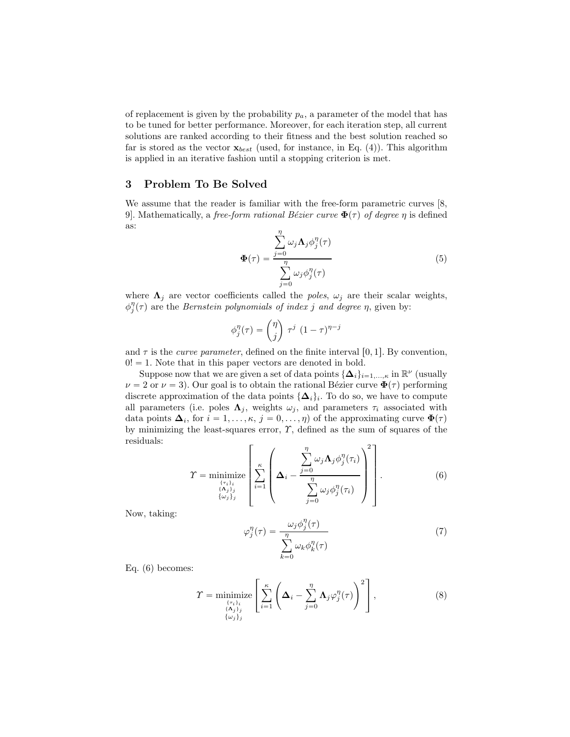of replacement is given by the probability  $p_a$ , a parameter of the model that has to be tuned for better performance. Moreover, for each iteration step, all current solutions are ranked according to their fitness and the best solution reached so far is stored as the vector  $\mathbf{x}_{best}$  (used, for instance, in Eq. (4)). This algorithm is applied in an iterative fashion until a stopping criterion is met.

#### 3 Problem To Be Solved

We assume that the reader is familiar with the free-form parametric curves [8, 9]. Mathematically, a free-form rational Bézier curve  $\Phi(\tau)$  of degree  $\eta$  is defined as:

$$
\Phi(\tau) = \frac{\sum_{j=0}^{\eta} \omega_j \Lambda_j \phi_j^{\eta}(\tau)}{\sum_{j=0}^{\eta} \omega_j \phi_j^{\eta}(\tau)}
$$
(5)

where  $\Lambda_j$  are vector coefficients called the poles,  $\omega_j$  are their scalar weights,  $\phi_j^{\eta}(\tau)$  are the *Bernstein polynomials of index j and degree n*, given by:

$$
\phi_j^{\eta}(\tau) = \binom{\eta}{j} \tau^j (1-\tau)^{\eta-j}
$$

and  $\tau$  is the *curve parameter*, defined on the finite interval [0, 1]. By convention,  $0! = 1$ . Note that in this paper vectors are denoted in bold.

Suppose now that we are given a set of data points  $\{\Delta_i\}_{i=1,\dots,\kappa}$  in  $\mathbb{R}^{\nu}$  (usually  $\nu = 2$  or  $\nu = 3$ ). Our goal is to obtain the rational Bézier curve  $\Phi(\tau)$  performing discrete approximation of the data points  $\{\Delta_i\}_i$ . To do so, we have to compute all parameters (i.e. poles  $\Lambda_j$ , weights  $\omega_j$ , and parameters  $\tau_i$  associated with data points  $\Delta_i$ , for  $i = 1, \ldots, \kappa, j = 0, \ldots, \eta$  of the approximating curve  $\Phi(\tau)$ by minimizing the least-squares error,  $\gamma$ , defined as the sum of squares of the residuals:  $2<sub>7</sub>$ 

$$
\Upsilon = \underset{\begin{subarray}{c}\{\alpha_j\}_{j}\\\{\alpha_j\}_{j}\\\{\omega_j\}_{j}\end{subarray}}{\text{minimize}} \left[ \sum_{i=1}^{\kappa} \left( \Delta_i - \frac{\sum_{j=0}^{n} \omega_j \Lambda_j \phi_j^{\eta}(\tau_i)}{\sum_{j=0}^{n} \omega_j \phi_j^{\eta}(\tau_i)} \right)^2 \right]. \tag{6}
$$

Now, taking:

$$
\varphi_j^{\eta}(\tau) = \frac{\omega_j \phi_j^{\eta}(\tau)}{\sum_{k=0}^{\eta} \omega_k \phi_k^{\eta}(\tau)}
$$
\n(7)

Eq. (6) becomes:

$$
\Upsilon = \underset{\substack{\{\tau_i\}_{i}\\\{\Delta_j\}_{j}\\\{\omega_j\}_{j}}} {\text{minimize}} \left[ \sum_{i=1}^{\kappa} \left( \Delta_i - \sum_{j=0}^{\eta} \Lambda_j \varphi_j^{\eta}(\tau) \right)^2 \right], \tag{8}
$$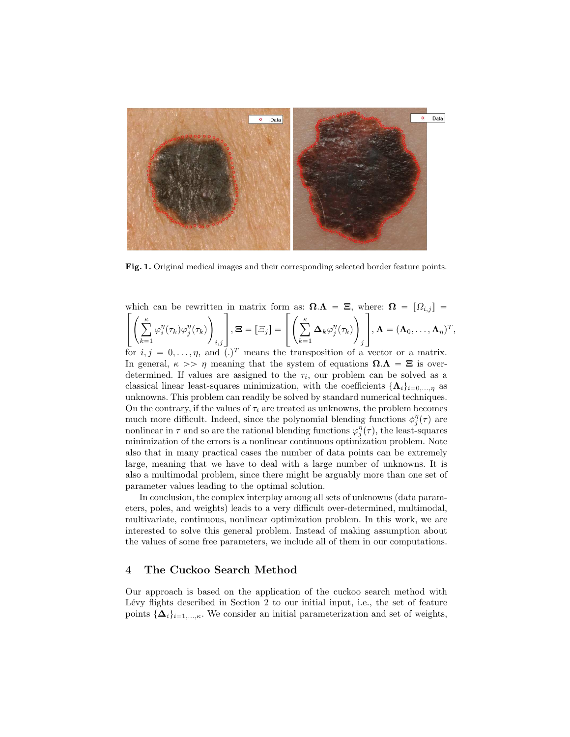

Fig. 1. Original medical images and their corresponding selected border feature points.

which can be rewritten in matrix form as:  $\mathbf{\Omega}.\mathbf{\Lambda} = \mathbf{\Xi}$ , where:  $\mathbf{\Omega} = [\Omega_{i,j}]$ 

$$
\left[\left(\sum_{k=1}^\kappa\varphi_i^\eta(\tau_k)\varphi_j^\eta(\tau_k)\right)_{i,j}\right],\Xi=\left[\varXi_j\right]=\left[\left(\sum_{k=1}^\kappa\boldsymbol{\Delta}_k\varphi_j^\eta(\tau_k)\right)_j\right],\boldsymbol{\Lambda}=(\boldsymbol{\Lambda}_0,\ldots,\boldsymbol{\Lambda}_\eta)^T,
$$

for  $i, j = 0, \ldots, \eta$ , and  $(.)^T$  means the transposition of a vector or a matrix. In general,  $\kappa \gg \eta$  meaning that the system of equations  $\Omega.\Lambda = \Xi$  is overdetermined. If values are assigned to the  $\tau_i$ , our problem can be solved as a classical linear least-squares minimization, with the coefficients  $\{\mathbf{\Lambda}_i\}_{i=0,\dots,n}$  as unknowns. This problem can readily be solved by standard numerical techniques. On the contrary, if the values of  $\tau_i$  are treated as unknowns, the problem becomes much more difficult. Indeed, since the polynomial blending functions  $\phi_j^{\eta}(\tau)$  are nonlinear in  $\tau$  and so are the rational blending functions  $\varphi_j^{\eta}(\tau)$ , the least-squares minimization of the errors is a nonlinear continuous optimization problem. Note also that in many practical cases the number of data points can be extremely large, meaning that we have to deal with a large number of unknowns. It is also a multimodal problem, since there might be arguably more than one set of parameter values leading to the optimal solution.

In conclusion, the complex interplay among all sets of unknowns (data parameters, poles, and weights) leads to a very difficult over-determined, multimodal, multivariate, continuous, nonlinear optimization problem. In this work, we are interested to solve this general problem. Instead of making assumption about the values of some free parameters, we include all of them in our computations.

### 4 The Cuckoo Search Method

Our approach is based on the application of the cuckoo search method with Lévy flights described in Section 2 to our initial input, i.e., the set of feature points  $\{\Delta_i\}_{i=1,\ldots,\kappa}$ . We consider an initial parameterization and set of weights,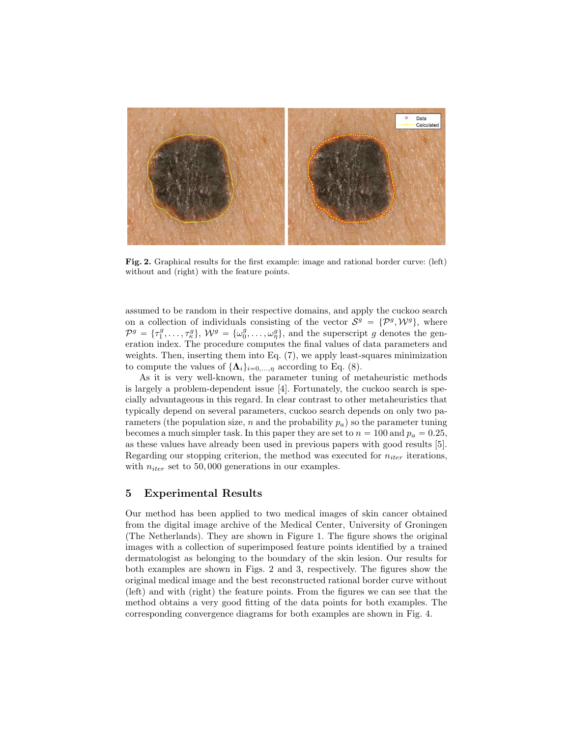

Fig. 2. Graphical results for the first example: image and rational border curve: (left) without and (right) with the feature points.

assumed to be random in their respective domains, and apply the cuckoo search on a collection of individuals consisting of the vector  $S^g = {\mathcal{P}^g, \mathcal{W}^g}$ , where  $\mathcal{P}^g = \{\tau_1^g, \ldots, \tau_\kappa^g\}, \ \mathcal{W}^g = \{\omega_0^g, \ldots, \omega_\eta^g\},\$  and the superscript g denotes the generation index. The procedure computes the final values of data parameters and weights. Then, inserting them into Eq. (7), we apply least-squares minimization to compute the values of  $\{\mathbf\Lambda_i\}_{i=0,\dots,\eta}$  according to Eq. (8).

As it is very well-known, the parameter tuning of metaheuristic methods is largely a problem-dependent issue [4]. Fortunately, the cuckoo search is specially advantageous in this regard. In clear contrast to other metaheuristics that typically depend on several parameters, cuckoo search depends on only two parameters (the population size, n and the probability  $p_a$ ) so the parameter tuning becomes a much simpler task. In this paper they are set to  $n = 100$  and  $p_a = 0.25$ , as these values have already been used in previous papers with good results [5]. Regarding our stopping criterion, the method was executed for  $n_{iter}$  iterations, with  $n_{iter}$  set to 50,000 generations in our examples.

#### 5 Experimental Results

Our method has been applied to two medical images of skin cancer obtained from the digital image archive of the Medical Center, University of Groningen (The Netherlands). They are shown in Figure 1. The figure shows the original images with a collection of superimposed feature points identified by a trained dermatologist as belonging to the boundary of the skin lesion. Our results for both examples are shown in Figs. 2 and 3, respectively. The figures show the original medical image and the best reconstructed rational border curve without (left) and with (right) the feature points. From the figures we can see that the method obtains a very good fitting of the data points for both examples. The corresponding convergence diagrams for both examples are shown in Fig. 4.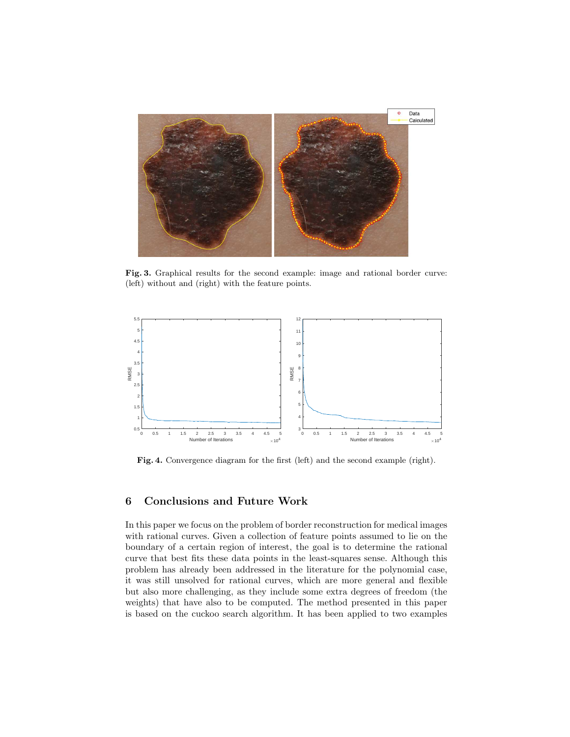

Fig. 3. Graphical results for the second example: image and rational border curve: (left) without and (right) with the feature points.



Fig. 4. Convergence diagram for the first (left) and the second example (right).

# 6 Conclusions and Future Work

In this paper we focus on the problem of border reconstruction for medical images with rational curves. Given a collection of feature points assumed to lie on the boundary of a certain region of interest, the goal is to determine the rational curve that best fits these data points in the least-squares sense. Although this problem has already been addressed in the literature for the polynomial case, it was still unsolved for rational curves, which are more general and flexible but also more challenging, as they include some extra degrees of freedom (the weights) that have also to be computed. The method presented in this paper is based on the cuckoo search algorithm. It has been applied to two examples